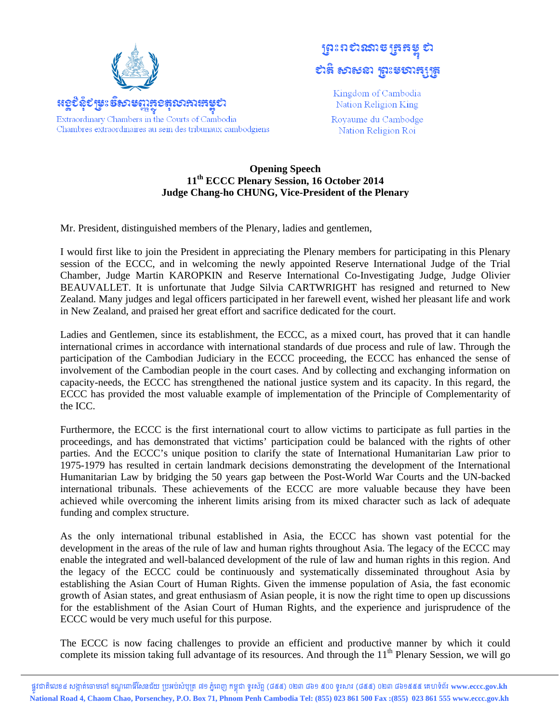

## **ព្រះ**ពស់រសាម ត្រូត៖ **បាឌូ សា**ទាយ នៃវិនិយាងវិនិ

Kingdom of Cambodia Nation Religion King

Royaume du Cambodge Nation Religion Roi

## **Opening Speech** 11<sup>th</sup> ECCC Plenary Session, 16 October 2014 Judge Chang-ho CHUNG, Vice-President of the Plenary

Mr. President, distinguished members of the Plenary, ladies and gentlemen,

I would first like to join the President in appreciating the Plenary members for participating in this Plenary session of the ECCC, and in welcoming the newly appointed Reserve International Judge of the Trial Chamber, Judge Martin KAROPKIN and Reserve International Co-Investigating Judge, Judge Olivier BEAUVALLET. It is unfortunate that Judge Silvia CARTWRIGHT has resigned and returned to New Zealand. Many judges and legal officers participated in her farewell event, wished her pleasant life and work in New Zealand, and praised her great effort and sacrifice dedicated for the court.

Ladies and Gentlemen, since its establishment, the ECCC, as a mixed court, has proved that it can handle international crimes in accordance with international standards of due process and rule of law. Through the participation of the Cambodian Judiciary in the ECCC proceeding, the ECCC has enhanced the sense of involvement of the Cambodian people in the court cases. And by collecting and exchanging information on capacity-needs, the ECCC has strengthened the national justice system and its capacity. In this regard, the ECCC has provided the most valuable example of implementation of the Principle of Complementarity of the ICC.

Furthermore, the ECCC is the first international court to allow victims to participate as full parties in the proceedings, and has demonstrated that victims' participation could be balanced with the rights of other parties. And the ECCC's unique position to clarify the state of International Humanitarian Law prior to 1975-1979 has resulted in certain landmark decisions demonstrating the development of the International Humanitarian Law by bridging the 50 years gap between the Post-World War Courts and the UN-backed international tribunals. These achievements of the ECCC are more valuable because they have been achieved while overcoming the inherent limits arising from its mixed character such as lack of adequate funding and complex structure.

As the only international tribunal established in Asia, the ECCC has shown vast potential for the development in the areas of the rule of law and human rights throughout Asia. The legacy of the ECCC may enable the integrated and well-balanced development of the rule of law and human rights in this region. And the legacy of the ECCC could be continuously and systematically disseminated throughout Asia by establishing the Asian Court of Human Rights. Given the immense population of Asia, the fast economic growth of Asian states, and great enthusiasm of Asian people, it is now the right time to open up discussions for the establishment of the Asian Court of Human Rights, and the experience and jurisprudence of the ECCC would be very much useful for this purpose.

The ECCC is now facing challenges to provide an efficient and productive manner by which it could complete its mission taking full advantage of its resources. And through the 11<sup>th</sup> Plenary Session, we will go